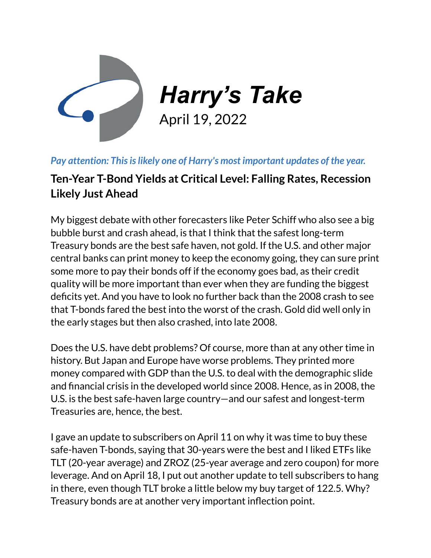

## *Pay attention: Thisislikely one of Harry's most important updates of the year.*

## **Ten-Year T-Bond Yields at Critical Level: Falling Rates, Recession Likely Just Ahead**

My biggest debate with other forecasters like Peter Schiff who also see a big bubble burst and crash ahead, is that I think that the safest long-term Treasury bonds are the best safe haven, not gold. If the U.S. and other major central banks can print money to keep the economy going, they can sure print some more to pay their bonds off if the economy goes bad, as their credit quality will be more important than ever when they are funding the biggest deficits yet. And you have to look no further back than the 2008 crash to see that T-bonds fared the best into the worst of the crash. Gold did well only in the early stages but then also crashed, into late 2008.

Does the U.S. have debt problems? Of course, more than at any other time in history. But Japan and Europe have worse problems. They printed more money compared with GDP than the U.S. to deal with the demographic slide and financial crisis in the developed world since 2008. Hence, as in 2008, the U.S. is the best safe-haven large country—and our safest and longest-term Treasuries are, hence, the best.

I gave an update to subscribers on April 11 on why it was time to buy these safe-haven T-bonds, saying that 30-years were the best and I liked ETFs like TLT (20-year average) and ZROZ (25-year average and zero coupon) for more leverage. And on April 18, I put out another update to tell subscribers to hang in there, even though TLT broke a little below my buy target of 122.5. Why? Treasury bonds are at another very important inflection point.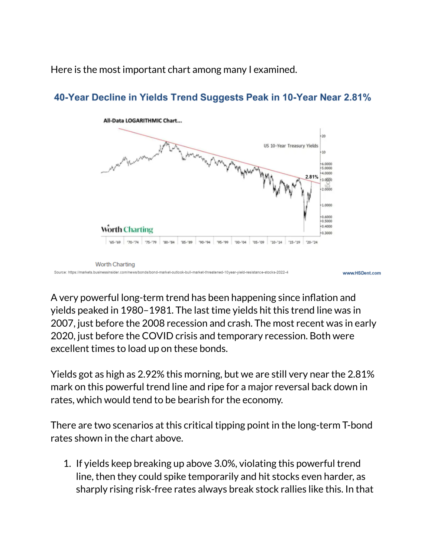Here is the most important chart among many I examined.



## 40-Year Decline in Yields Trend Suggests Peak in 10-Year Near 2.81%

A very powerful long-term trend has been happening since inflation and yields peaked in 1980–1981. The last time yields hit this trend line was in 2007, just before the 2008 recession and crash. The most recent was in early 2020, just before the COVID crisis and temporary recession. Both were excellent times to load up on these bonds.

Yields got as high as 2.92% this morning, but we are still very near the 2.81% mark on this powerful trend line and ripe for a major reversal back down in rates, which would tend to be bearish for the economy.

There are two scenarios at this critical tipping point in the long-term T-bond rates shown in the chart above.

1. If yields keep breaking up above 3.0%, violating this powerful trend line, then they could spike temporarily and hit stocks even harder, as sharply rising risk-free rates always break stock rallies like this. In that